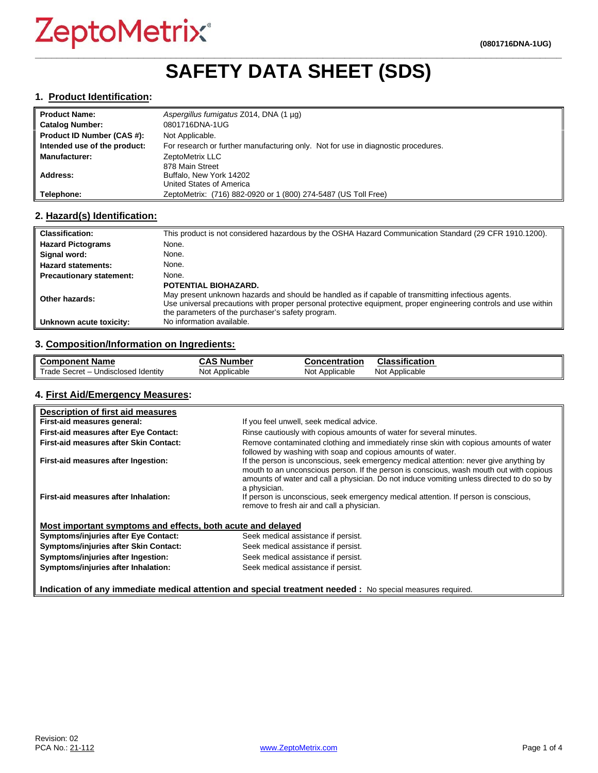## **\_\_\_\_\_\_\_\_\_\_\_\_\_\_\_\_\_\_\_\_\_\_\_\_\_\_\_\_\_\_\_\_\_\_\_\_\_\_\_\_\_\_\_\_\_\_\_\_\_\_\_\_\_\_\_\_\_\_\_\_\_\_\_\_\_\_\_\_\_\_\_\_\_\_\_\_\_\_\_\_\_\_\_\_\_\_\_\_\_\_\_\_\_\_\_\_\_ SAFETY DATA SHEET (SDS)**

#### **1. Product Identification:**

| Product Name:                | Aspergillus fumigatus Z014, DNA (1 µg)                                            |
|------------------------------|-----------------------------------------------------------------------------------|
| Catalog Number:              | 0801716DNA-1UG                                                                    |
| Product ID Number (CAS #):   | Not Applicable.                                                                   |
| Intended use of the product: | For research or further manufacturing only. Not for use in diagnostic procedures. |
| Manufacturer:                | ZeptoMetrix LLC                                                                   |
|                              | 878 Main Street                                                                   |
| Address:                     | Buffalo, New York 14202                                                           |
|                              | United States of America                                                          |
| Telephone:                   | ZeptoMetrix: (716) 882-0920 or 1 (800) 274-5487 (US Toll Free)                    |

#### **2. Hazard(s) Identification:**

| <b>Classification:</b>          | This product is not considered hazardous by the OSHA Hazard Communication Standard (29 CFR 1910.1200).                                                                                                                                                                                             |
|---------------------------------|----------------------------------------------------------------------------------------------------------------------------------------------------------------------------------------------------------------------------------------------------------------------------------------------------|
| <b>Hazard Pictograms</b>        | None.                                                                                                                                                                                                                                                                                              |
| Signal word:                    | None.                                                                                                                                                                                                                                                                                              |
| <b>Hazard statements:</b>       | None.                                                                                                                                                                                                                                                                                              |
| <b>Precautionary statement:</b> | None.                                                                                                                                                                                                                                                                                              |
| Other hazards:                  | POTENTIAL BIOHAZARD.<br>May present unknown hazards and should be handled as if capable of transmitting infectious agents.<br>Use universal precautions with proper personal protective equipment, proper engineering controls and use within<br>the parameters of the purchaser's safety program. |
| Unknown acute toxicity:         | No information available.                                                                                                                                                                                                                                                                          |

## **3. Composition/Information on Ingredients:**

| <b>Component Name</b>                                               | , Number<br>л,<br>,,,, | Concentration     | Classification    |
|---------------------------------------------------------------------|------------------------|-------------------|-------------------|
| Trade<br>Undisclosed Identity<br>Secret<br>$\overline{\phantom{0}}$ | Not Applicable         | Not<br>Applicable | Not<br>Applicable |

#### **4. First Aid/Emergency Measures:**

| Description of first aid measures                           |                                                                                                                                                                                                                                                                                                |
|-------------------------------------------------------------|------------------------------------------------------------------------------------------------------------------------------------------------------------------------------------------------------------------------------------------------------------------------------------------------|
| First-aid measures general:                                 | If you feel unwell, seek medical advice.                                                                                                                                                                                                                                                       |
| First-aid measures after Eye Contact:                       | Rinse cautiously with copious amounts of water for several minutes.                                                                                                                                                                                                                            |
| First-aid measures after Skin Contact:                      | Remove contaminated clothing and immediately rinse skin with copious amounts of water<br>followed by washing with soap and copious amounts of water.                                                                                                                                           |
| First-aid measures after Ingestion:                         | If the person is unconscious, seek emergency medical attention: never give anything by<br>mouth to an unconscious person. If the person is conscious, wash mouth out with copious<br>amounts of water and call a physician. Do not induce vomiting unless directed to do so by<br>a physician. |
| First-aid measures after Inhalation:                        | If person is unconscious, seek emergency medical attention. If person is conscious,<br>remove to fresh air and call a physician.                                                                                                                                                               |
| Most important symptoms and effects, both acute and delayed |                                                                                                                                                                                                                                                                                                |
| <b>Symptoms/injuries after Eye Contact:</b>                 | Seek medical assistance if persist.                                                                                                                                                                                                                                                            |
| Symptoms/injuries after Skin Contact:                       | Seek medical assistance if persist.                                                                                                                                                                                                                                                            |
| Symptoms/injuries after Ingestion:                          | Seek medical assistance if persist.                                                                                                                                                                                                                                                            |
| Symptoms/injuries after Inhalation:                         | Seek medical assistance if persist.                                                                                                                                                                                                                                                            |
|                                                             | Indication of any immediate medical attention and special treatment needed : No special measures required.                                                                                                                                                                                     |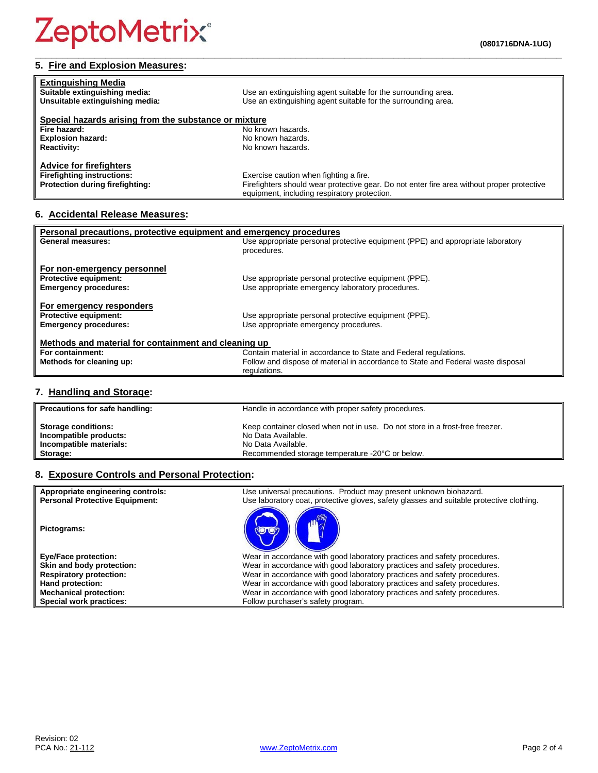## **5. Fire and Explosion Measures:**

| <b>Extinguishing Media</b><br>Suitable extinguishing media:<br>Unsuitable extinguishing media:         | Use an extinguishing agent suitable for the surrounding area.<br>Use an extinguishing agent suitable for the surrounding area.                                                       |
|--------------------------------------------------------------------------------------------------------|--------------------------------------------------------------------------------------------------------------------------------------------------------------------------------------|
| Special hazards arising from the substance or mixture                                                  |                                                                                                                                                                                      |
| Fire hazard:                                                                                           | No known hazards.                                                                                                                                                                    |
| <b>Explosion hazard:</b>                                                                               | No known hazards.                                                                                                                                                                    |
| <b>Reactivity:</b>                                                                                     | No known hazards.                                                                                                                                                                    |
| <b>Advice for firefighters</b><br><b>Firefighting instructions:</b><br>Protection during firefighting: | Exercise caution when fighting a fire.<br>Firefighters should wear protective gear. Do not enter fire area without proper protective<br>equipment, including respiratory protection. |

**\_\_\_\_\_\_\_\_\_\_\_\_\_\_\_\_\_\_\_\_\_\_\_\_\_\_\_\_\_\_\_\_\_\_\_\_\_\_\_\_\_\_\_\_\_\_\_\_\_\_\_\_\_\_\_\_\_\_\_\_\_\_\_\_\_\_\_\_\_\_\_\_\_\_\_\_\_\_\_\_\_\_\_\_\_\_\_\_\_\_\_\_\_\_\_\_\_**

## **6. Accidental Release Measures:**

| Personal precautions, protective equipment and emergency procedures |                                                                                  |  |
|---------------------------------------------------------------------|----------------------------------------------------------------------------------|--|
| <b>General measures:</b>                                            | Use appropriate personal protective equipment (PPE) and appropriate laboratory   |  |
|                                                                     | procedures.                                                                      |  |
| For non-emergency personnel                                         |                                                                                  |  |
| <b>Protective equipment:</b>                                        | Use appropriate personal protective equipment (PPE).                             |  |
| <b>Emergency procedures:</b>                                        | Use appropriate emergency laboratory procedures.                                 |  |
| For emergency responders                                            |                                                                                  |  |
| <b>Protective equipment:</b>                                        | Use appropriate personal protective equipment (PPE).                             |  |
| <b>Emergency procedures:</b>                                        | Use appropriate emergency procedures.                                            |  |
|                                                                     |                                                                                  |  |
| Methods and material for containment and cleaning up                |                                                                                  |  |
| For containment:                                                    | Contain material in accordance to State and Federal regulations.                 |  |
| Methods for cleaning up:                                            | Follow and dispose of material in accordance to State and Federal waste disposal |  |
|                                                                     | regulations.                                                                     |  |

## **7. Handling and Storage:**

| Precautions for safe handling: | Handle in accordance with proper safety procedures.                          |
|--------------------------------|------------------------------------------------------------------------------|
| <b>Storage conditions:</b>     | Keep container closed when not in use. Do not store in a frost-free freezer. |
| Incompatible products:         | No Data Available.                                                           |
| Incompatible materials:        | No Data Available.                                                           |
| Storage:                       | Recommended storage temperature -20°C or below.                              |

## **8. Exposure Controls and Personal Protection:**

| Appropriate engineering controls:<br><b>Personal Protective Equipment:</b> | Use universal precautions. Product may present unknown biohazard.<br>Use laboratory coat, protective gloves, safety glasses and suitable protective clothing. |
|----------------------------------------------------------------------------|---------------------------------------------------------------------------------------------------------------------------------------------------------------|
| Pictograms:                                                                |                                                                                                                                                               |
| <b>Eye/Face protection:</b>                                                | Wear in accordance with good laboratory practices and safety procedures.                                                                                      |
| Skin and body protection:                                                  | Wear in accordance with good laboratory practices and safety procedures.                                                                                      |
| <b>Respiratory protection:</b>                                             | Wear in accordance with good laboratory practices and safety procedures.                                                                                      |
| Hand protection:                                                           | Wear in accordance with good laboratory practices and safety procedures.                                                                                      |
| <b>Mechanical protection:</b>                                              | Wear in accordance with good laboratory practices and safety procedures.                                                                                      |
| Special work practices:                                                    | Follow purchaser's safety program.                                                                                                                            |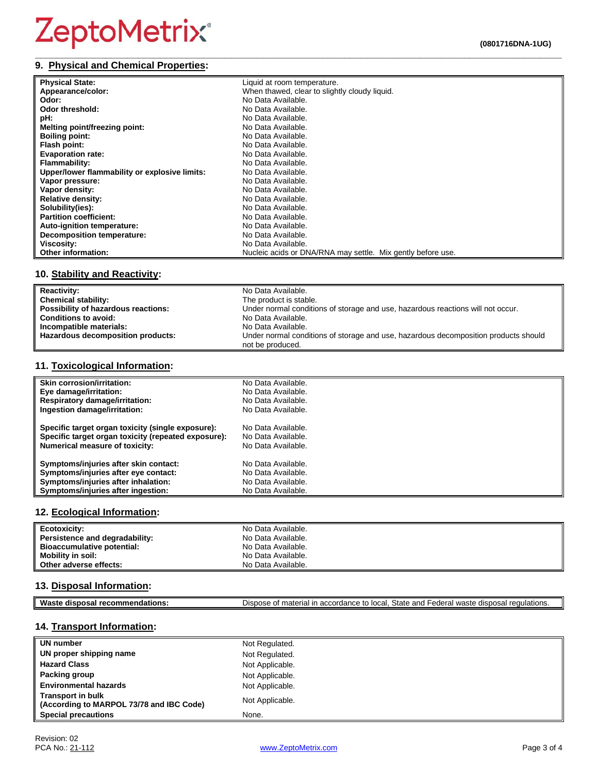#### **\_\_\_\_\_\_\_\_\_\_\_\_\_\_\_\_\_\_\_\_\_\_\_\_\_\_\_\_\_\_\_\_\_\_\_\_\_\_\_\_\_\_\_\_\_\_\_\_\_\_\_\_\_\_\_\_\_\_\_\_\_\_\_\_\_\_\_\_\_\_\_\_\_\_\_\_\_\_\_\_\_\_\_\_\_\_\_\_\_\_\_\_\_\_\_\_\_ 9. Physical and Chemical Properties:**

| <b>Physical State:</b>                        | Liquid at room temperature.                                 |
|-----------------------------------------------|-------------------------------------------------------------|
| Appearance/color:                             | When thawed, clear to slightly cloudy liquid.               |
| Odor:                                         | No Data Available.                                          |
| Odor threshold:                               | No Data Available.                                          |
| pH:                                           | No Data Available.                                          |
| Melting point/freezing point:                 | No Data Available.                                          |
| <b>Boiling point:</b>                         | No Data Available.                                          |
| Flash point:                                  | No Data Available.                                          |
| <b>Evaporation rate:</b>                      | No Data Available.                                          |
| <b>Flammability:</b>                          | No Data Available.                                          |
| Upper/lower flammability or explosive limits: | No Data Available.                                          |
| Vapor pressure:                               | No Data Available.                                          |
| Vapor density:                                | No Data Available.                                          |
| <b>Relative density:</b>                      | No Data Available.                                          |
| Solubility(ies):                              | No Data Available.                                          |
| <b>Partition coefficient:</b>                 | No Data Available.                                          |
| <b>Auto-ignition temperature:</b>             | No Data Available.                                          |
| Decomposition temperature:                    | No Data Available.                                          |
| Viscosity:                                    | No Data Available.                                          |
| <b>Other information:</b>                     | Nucleic acids or DNA/RNA may settle. Mix gently before use. |

## **10. Stability and Reactivity:**

| <b>Reactivity:</b>                  | No Data Available.                                                                  |
|-------------------------------------|-------------------------------------------------------------------------------------|
| <b>Chemical stability:</b>          | The product is stable.                                                              |
| Possibility of hazardous reactions: | Under normal conditions of storage and use, hazardous reactions will not occur.     |
| <b>Conditions to avoid:</b>         | No Data Available.                                                                  |
| Incompatible materials:             | No Data Available.                                                                  |
| Hazardous decomposition products:   | Under normal conditions of storage and use, hazardous decomposition products should |
|                                     | not be produced.                                                                    |

#### **11. Toxicological Information:**

| Skin corrosion/irritation:                          | No Data Available. |
|-----------------------------------------------------|--------------------|
| Eye damage/irritation:                              | No Data Available. |
| <b>Respiratory damage/irritation:</b>               | No Data Available. |
| Ingestion damage/irritation:                        | No Data Available. |
| Specific target organ toxicity (single exposure):   | No Data Available. |
| Specific target organ toxicity (repeated exposure): | No Data Available. |
| <b>Numerical measure of toxicity:</b>               | No Data Available. |
| Symptoms/injuries after skin contact:               | No Data Available. |
| Symptoms/injuries after eye contact:                | No Data Available. |
| Symptoms/injuries after inhalation:                 | No Data Available. |
| Symptoms/injuries after ingestion:                  | No Data Available. |

### **12. Ecological Information:**

| Ecotoxicity:                   | No Data Available. |
|--------------------------------|--------------------|
| Persistence and degradability: | No Data Available. |
| Bioaccumulative potential:     | No Data Available. |
| <b>Mobility in soil:</b>       | No Data Available. |
| Other adverse effects:         | No Data Available. |

## **13. Disposal Information:**

| Waste disposal recommendations:<br>Dispose of material in accordance to local, State and Federal waste disposal regulations. |  |
|------------------------------------------------------------------------------------------------------------------------------|--|
|------------------------------------------------------------------------------------------------------------------------------|--|

## **14. Transport Information:**

| UN number                                                            | Not Regulated.  |
|----------------------------------------------------------------------|-----------------|
| UN proper shipping name                                              | Not Regulated.  |
| <b>Hazard Class</b>                                                  | Not Applicable. |
| Packing group                                                        | Not Applicable. |
| <b>Environmental hazards</b>                                         | Not Applicable. |
| <b>Transport in bulk</b><br>(According to MARPOL 73/78 and IBC Code) | Not Applicable. |
| <b>Special precautions</b>                                           | None.           |

 $\Box$